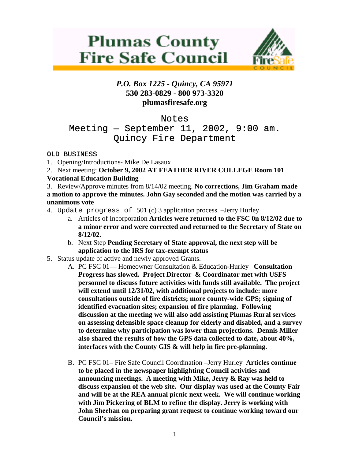# **Plumas County Fire Safe Council**



## *P.O. Box 1225 - Quincy, CA 95971*  **530 283-0829 - 800 973-3320 plumasfiresafe.org**

# Notes

# Meeting  $-$  September 11, 2002, 9:00 am. Quincy Fire Department

### OLD BUSINESS

- 1. Opening/Introductions- Mike De Lasaux
- 2. Next meeting: **October 9, 2002 AT FEATHER RIVER COLLEGE Room 101**

## **Vocational Education Building**

3. Review/Approve minutes from 8/14/02 meeting. **No corrections, Jim Graham made a motion to approve the minutes. John Gay seconded and the motion was carried by a unanimous vote**

- 4. Update progress of 501 (c) 3 application process. –Jerry Hurley
	- a. Articles of Incorporation **Articles were returned to the FSC 0n 8/12/02 due to a minor error and were corrected and returned to the Secretary of State on 8/12/02.**
	- b. Next Step **Pending Secretary of State approval, the next step will be application to the IRS for tax-exempt status**
- 5. Status update of active and newly approved Grants.
	- A. PC FSC 01— Homeowner Consultation & Education-Hurley **Consultation Progress has slowed. Project Director & Coordinator met with USFS personnel to discuss future activities with funds still available. The project will extend until 12/31/02, with additional projects to include: more consultations outside of fire districts; more county-wide GPS; signing of identified evacuation sites; expansion of fire planning. Following discussion at the meeting we will also add assisting Plumas Rural services on assessing defensible space cleanup for elderly and disabled, and a survey to determine why participation was lower than projections. Dennis Miller also shared the results of how the GPS data collected to date, about 40%, interfaces with the County GIS & will help in fire pre-planning.**
	- B. PC FSC 01– Fire Safe Council Coordination –Jerry Hurley **Articles continue to be placed in the newspaper highlighting Council activities and announcing meetings. A meeting with Mike, Jerry & Ray was held to discuss expansion of the web site. Our display was used at the County Fair and will be at the REA annual picnic next week. We will continue working with Jim Pickering of BLM to refine the display. Jerry is working with John Sheehan on preparing grant request to continue working toward our Council's mission.**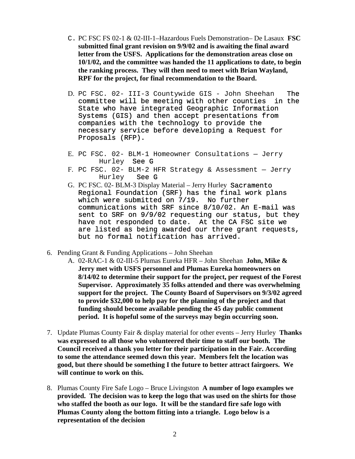- C. PC FSC FS 02-1 & 02-III-1–Hazardous Fuels Demonstration– De Lasaux **FSC submitted final grant revision on 9/9/02 and is awaiting the final award letter from the USFS. Applications for the demonstration areas close on 10/1/02, and the committee was handed the 11 applications to date, to begin the ranking process. They will then need to meet with Brian Wayland, RPF for the project, for final recommendation to the Board.**
- D. PC FSC. 02- III-3 Countywide GIS John Sheehan The committee will be meeting with other counties in the State who have integrated Geographic Information Systems (GIS) and then accept presentations from companies with the technology to provide the necessary service before developing a Request for Proposals (RFP).
- E. PC FSC. 02- BLM-1 Homeowner Consultations Jerry Hurley See G
- F. PC FSC. 02- BLM-2 HFR Strategy & Assessment Jerry Hurley See G
- G. PC FSC. 02- BLM-3 Display Material Jerry Hurley Sacramento Regional Foundation (SRF) has the final work plans which were submitted on 7/19. No further communications with SRF since 8/10/02. An E-mail was sent to SRF on 9/9/02 requesting our status, but they have not responded to date. At the CA FSC site we are listed as being awarded our three grant requests, but no formal notification has arrived.
- 6. Pending Grant & Funding Applications John Sheehan
	- A. 02-RAC-1 & 02-III-5 Plumas Eureka HFR John Sheehan **John, Mike & Jerry met with USFS personnel and Plumas Eureka homeowners on 8/14/02 to determine their support for the project, per request of the Forest Supervisor. Approximately 35 folks attended and there was overwhelming support for the project. The County Board of Supervisors on 9/3/02 agreed to provide \$32,000 to help pay for the planning of the project and that funding should become available pending the 45 day public comment period. It is hopeful some of the surveys may begin occurring soon.**
- 7. Update Plumas County Fair & display material for other events Jerry Hurley **Thanks was expressed to all those who volunteered their time to staff our booth. The Council received a thank you letter for their participation in the Fair. According to some the attendance seemed down this year. Members felt the location was good, but there should be something I the future to better attract fairgoers. We will continue to work on this.**
- 8. Plumas County Fire Safe Logo Bruce Livingston **A number of logo examples we provided. The decision was to keep the logo that was used on the shirts for those who staffed the booth as our logo. It will be the standard fire safe logo with Plumas County along the bottom fitting into a triangle. Logo below is a representation of the decision**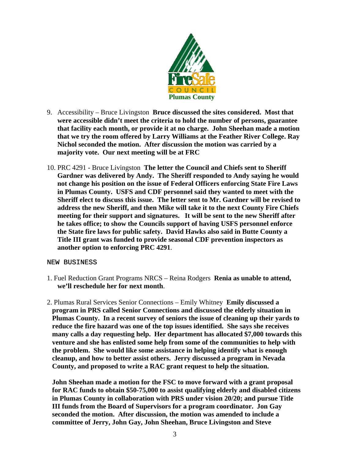

- 9. Accessibility Bruce Livingston **Bruce discussed the sites considered. Most that were accessible didn't meet the criteria to hold the number of persons, guarantee that facility each month, or provide it at no charge. John Sheehan made a motion that we try the room offered by Larry Williams at the Feather River College. Ray Nichol seconded the motion. After discussion the motion was carried by a majority vote. Our next meeting will be at FRC**
- 10. PRC 4291 Bruce Livingston **The letter the Council and Chiefs sent to Sheriff Gardner was delivered by Andy. The Sheriff responded to Andy saying he would not change his position on the issue of Federal Officers enforcing State Fire Laws in Plumas County. USFS and CDF personnel said they wanted to meet with the Sheriff elect to discuss this issue. The letter sent to Mr. Gardner will be revised to address the new Sheriff, and then Mike will take it to the next County Fire Chiefs meeting for their support and signatures. It will be sent to the new Sheriff after he takes office; to show the Councils support of having USFS personnel enforce the State fire laws for public safety. David Hawks also said in Butte County a Title III grant was funded to provide seasonal CDF prevention inspectors as another option to enforcing PRC 4291**.

#### NEW BUSINESS

- 1. Fuel Reduction Grant Programs NRCS Reina Rodgers **Renia as unable to attend, we'll reschedule her for next month**.
- 2. Plumas Rural Services Senior Connections Emily Whitney **Emily discussed a program in PRS called Senior Connections and discussed the elderly situation in Plumas County. In a recent survey of seniors the issue of cleaning up their yards to reduce the fire hazard was one of the top issues identified. She says she receives many calls a day requesting help. Her department has allocated \$7,000 towards this venture and she has enlisted some help from some of the communities to help with the problem. She would like some assistance in helping identify what is enough cleanup, and how to better assist others. Jerry discussed a program in Nevada County, and proposed to write a RAC grant request to help the situation.**

**John Sheehan made a motion for the FSC to move forward with a grant proposal for RAC funds to obtain \$50-75,000 to assist qualifying elderly and disabled citizens in Plumas County in collaboration with PRS under vision 20/20; and pursue Title III funds from the Board of Supervisors for a program coordinator. Jon Gay seconded the motion. After discussion, the motion was amended to include a committee of Jerry, John Gay, John Sheehan, Bruce Livingston and Steve**